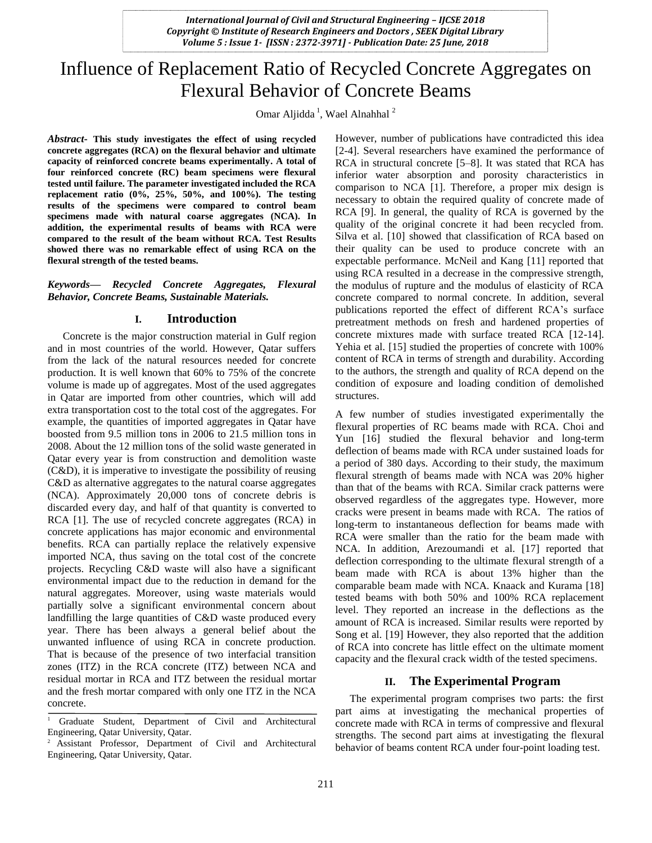# Influence of Replacement Ratio of Recycled Concrete Aggregates on Flexural Behavior of Concrete Beams

Omar Aljidda<sup>1</sup>, Wael Alnahhal<sup>2</sup>

*Abstract***- This study investigates the effect of using recycled concrete aggregates (RCA) on the flexural behavior and ultimate capacity of reinforced concrete beams experimentally. A total of four reinforced concrete (RC) beam specimens were flexural tested until failure. The parameter investigated included the RCA replacement ratio (0%, 25%, 50%, and 100%). The testing results of the specimens were compared to control beam specimens made with natural coarse aggregates (NCA). In addition, the experimental results of beams with RCA were compared to the result of the beam without RCA. Test Results showed there was no remarkable effect of using RCA on the flexural strength of the tested beams.**

#### *Keywords— Recycled Concrete Aggregates, Flexural Behavior, Concrete Beams, Sustainable Materials.*

#### **I. Introduction**

Concrete is the major construction material in Gulf region and in most countries of the world. However, Qatar suffers from the lack of the natural resources needed for concrete production. It is well known that 60% to 75% of the concrete volume is made up of aggregates. Most of the used aggregates in Qatar are imported from other countries, which will add extra transportation cost to the total cost of the aggregates. For example, the quantities of imported aggregates in Qatar have boosted from 9.5 million tons in 2006 to 21.5 million tons in 2008. About the 12 million tons of the solid waste generated in Qatar every year is from construction and demolition waste (C&D), it is imperative to investigate the possibility of reusing C&D as alternative aggregates to the natural coarse aggregates (NCA). Approximately 20,000 tons of concrete debris is discarded every day, and half of that quantity is converted to RCA [1]. The use of recycled concrete aggregates (RCA) in concrete applications has major economic and environmental benefits. RCA can partially replace the relatively expensive imported NCA, thus saving on the total cost of the concrete projects. Recycling C&D waste will also have a significant environmental impact due to the reduction in demand for the natural aggregates. Moreover, using waste materials would partially solve a significant environmental concern about landfilling the large quantities of C&D waste produced every year. There has been always a general belief about the unwanted influence of using RCA in concrete production. That is because of the presence of two interfacial transition zones (ITZ) in the RCA concrete (ITZ) between NCA and residual mortar in RCA and ITZ between the residual mortar and the fresh mortar compared with only one ITZ in the NCA concrete.

However, number of publications have contradicted this idea [2-4]. Several researchers have examined the performance of RCA in structural concrete [5–8]. It was stated that RCA has inferior water absorption and porosity characteristics in comparison to NCA [1]. Therefore, a proper mix design is necessary to obtain the required quality of concrete made of RCA [9]. In general, the quality of RCA is governed by the quality of the original concrete it had been recycled from. Silva et al. [10] showed that classification of RCA based on their quality can be used to produce concrete with an expectable performance. McNeil and Kang [11] reported that using RCA resulted in a decrease in the compressive strength, the modulus of rupture and the modulus of elasticity of RCA concrete compared to normal concrete. In addition, several publications reported the effect of different RCA's surface pretreatment methods on fresh and hardened properties of concrete mixtures made with surface treated RCA [12-14]. Yehia et al. [15] studied the properties of concrete with 100% content of RCA in terms of strength and durability. According to the authors, the strength and quality of RCA depend on the condition of exposure and loading condition of demolished structures.

A few number of studies investigated experimentally the flexural properties of RC beams made with RCA. Choi and Yun [16] studied the flexural behavior and long-term deflection of beams made with RCA under sustained loads for a period of 380 days. According to their study, the maximum flexural strength of beams made with NCA was 20% higher than that of the beams with RCA. Similar crack patterns were observed regardless of the aggregates type. However, more cracks were present in beams made with RCA. The ratios of long-term to instantaneous deflection for beams made with RCA were smaller than the ratio for the beam made with NCA. In addition, Arezoumandi et al. [17] reported that deflection corresponding to the ultimate flexural strength of a beam made with RCA is about 13% higher than the comparable beam made with NCA. Knaack and Kurama [18] tested beams with both 50% and 100% RCA replacement level. They reported an increase in the deflections as the amount of RCA is increased. Similar results were reported by Song et al. [19] However, they also reported that the addition of RCA into concrete has little effect on the ultimate moment capacity and the flexural crack width of the tested specimens.

# **II. The Experimental Program**

The experimental program comprises two parts: the first part aims at investigating the mechanical properties of concrete made with RCA in terms of compressive and flexural strengths. The second part aims at investigating the flexural behavior of beams content RCA under four-point loading test.

<sup>1</sup> Graduate Student, Department of Civil and Architectural Engineering, Qatar University, Qatar.

<sup>&</sup>lt;sup>2</sup> Assistant Professor, Department of Civil and Architectural Engineering, Qatar University, Qatar.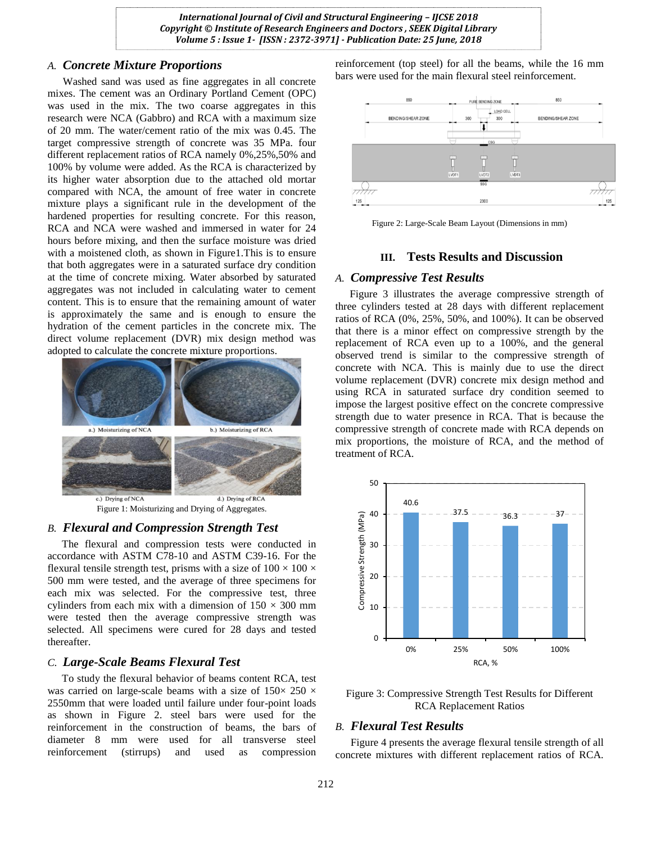# *A. Concrete Mixture Proportions*

Washed sand was used as fine aggregates in all concrete mixes. The cement was an Ordinary Portland Cement (OPC) was used in the mix. The two coarse aggregates in this research were NCA (Gabbro) and RCA with a maximum size of 20 mm. The water/cement ratio of the mix was 0.45. The target compressive strength of concrete was 35 MPa. four different replacement ratios of RCA namely 0%,25%,50% and 100% by volume were added. As the RCA is characterized by its higher water absorption due to the attached old mortar compared with NCA, the amount of free water in concrete mixture plays a significant rule in the development of the hardened properties for resulting concrete. For this reason, RCA and NCA were washed and immersed in water for 24 hours before mixing, and then the surface moisture was dried with a moistened cloth, as shown in Figure1.This is to ensure that both aggregates were in a saturated surface dry condition at the time of concrete mixing. Water absorbed by saturated aggregates was not included in calculating water to cement content. This is to ensure that the remaining amount of water is approximately the same and is enough to ensure the hydration of the cement particles in the concrete mix. The direct volume replacement (DVR) mix design method was adopted to calculate the concrete mixture proportions.



Figure 1: Moisturizing and Drying of Aggregates.

### *B. Flexural and Compression Strength Test*

The flexural and compression tests were conducted in accordance with ASTM C78-10 and ASTM C39-16. For the flexural tensile strength test, prisms with a size of  $100 \times 100 \times$ 500 mm were tested, and the average of three specimens for each mix was selected. For the compressive test, three cylinders from each mix with a dimension of  $150 \times 300$  mm were tested then the average compressive strength was selected. All specimens were cured for 28 days and tested thereafter.

#### *C. Large-Scale Beams Flexural Test*

To study the flexural behavior of beams content RCA, test was carried on large-scale beams with a size of  $150 \times 250 \times$ 2550mm that were loaded until failure under four-point loads as shown in Figure 2. steel bars were used for the reinforcement in the construction of beams, the bars of diameter 8 mm were used for all transverse steel reinforcement (stirrups) and used as compression

reinforcement (top steel) for all the beams, while the 16 mm bars were used for the main flexural steel reinforcement.



Figure 2: Large-Scale Beam Layout (Dimensions in mm)

# **III. Tests Results and Discussion**

## *A. Compressive Test Results*

Figure 3 illustrates the average compressive strength of three cylinders tested at 28 days with different replacement ratios of RCA (0%, 25%, 50%, and 100%). It can be observed that there is a minor effect on compressive strength by the replacement of RCA even up to a 100%, and the general observed trend is similar to the compressive strength of concrete with NCA. This is mainly due to use the direct volume replacement (DVR) concrete mix design method and using RCA in saturated surface dry condition seemed to impose the largest positive effect on the concrete compressive strength due to water presence in RCA. That is because the compressive strength of concrete made with RCA depends on mix proportions, the moisture of RCA, and the method of treatment of RCA.



Figure 3: Compressive Strength Test Results for Different RCA Replacement Ratios

# *B. Flexural Test Results*

Figure 4 presents the average flexural tensile strength of all concrete mixtures with different replacement ratios of RCA.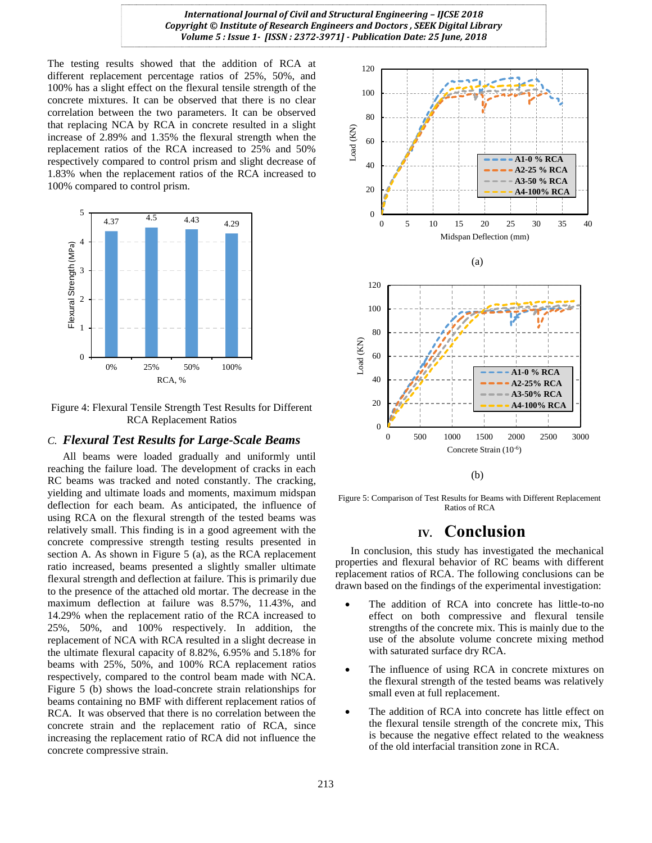The testing results showed that the addition of RCA at different replacement percentage ratios of 25%, 50%, and 100% has a slight effect on the flexural tensile strength of the concrete mixtures. It can be observed that there is no clear correlation between the two parameters. It can be observed that replacing NCA by RCA in concrete resulted in a slight increase of 2.89% and 1.35% the flexural strength when the replacement ratios of the RCA increased to 25% and 50% respectively compared to control prism and slight decrease of 1.83% when the replacement ratios of the RCA increased to 100% compared to control prism.



Figure 4: Flexural Tensile Strength Test Results for Different RCA Replacement Ratios

#### *C. Flexural Test Results for Large-Scale Beams*

All beams were loaded gradually and uniformly until reaching the failure load. The development of cracks in each RC beams was tracked and noted constantly. The cracking, yielding and ultimate loads and moments, maximum midspan deflection for each beam. As anticipated, the influence of using RCA on the flexural strength of the tested beams was relatively small. This finding is in a good agreement with the concrete compressive strength testing results presented in section A. As shown in Figure 5 (a), as the RCA replacement ratio increased, beams presented a slightly smaller ultimate flexural strength and deflection at failure. This is primarily due to the presence of the attached old mortar. The decrease in the maximum deflection at failure was 8.57%, 11.43%, and 14.29% when the replacement ratio of the RCA increased to 25%, 50%, and 100% respectively. In addition, the replacement of NCA with RCA resulted in a slight decrease in the ultimate flexural capacity of 8.82%, 6.95% and 5.18% for beams with 25%, 50%, and 100% RCA replacement ratios respectively, compared to the control beam made with NCA. Figure 5 (b) shows the load-concrete strain relationships for beams containing no BMF with different replacement ratios of RCA. It was observed that there is no correlation between the concrete strain and the replacement ratio of RCA, since increasing the replacement ratio of RCA did not influence the concrete compressive strain.



Figure 5: Comparison of Test Results for Beams with Different Replacement Ratios of RCA

# **IV. Conclusion**

In conclusion, this study has investigated the mechanical properties and flexural behavior of RC beams with different replacement ratios of RCA. The following conclusions can be drawn based on the findings of the experimental investigation:

- The addition of RCA into concrete has little-to-no effect on both compressive and flexural tensile strengths of the concrete mix. This is mainly due to the use of the absolute volume concrete mixing method with saturated surface dry RCA.
- The influence of using RCA in concrete mixtures on the flexural strength of the tested beams was relatively small even at full replacement.
- The addition of RCA into concrete has little effect on the flexural tensile strength of the concrete mix, This is because the negative effect related to the weakness of the old interfacial transition zone in RCA.